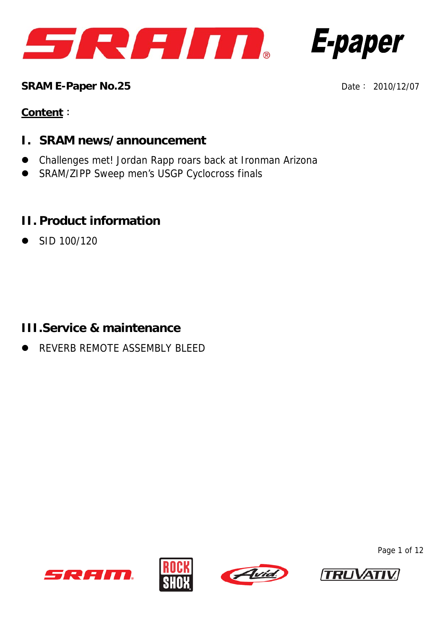



**SRAM E-Paper No.25 Date: 2010/12/07** 

#### **Content**:

- **I. SRAM news/announcement**
- Challenges met! Jordan Rapp roars back at Ironman Arizona
- SRAM/ZIPP Sweep men's USGP Cyclocross finals

# **II. Product information**

z SID 100/120

## **III.Service & maintenance**

z REVERB REMOTE ASSEMBLY BLEED









Page 1 of 12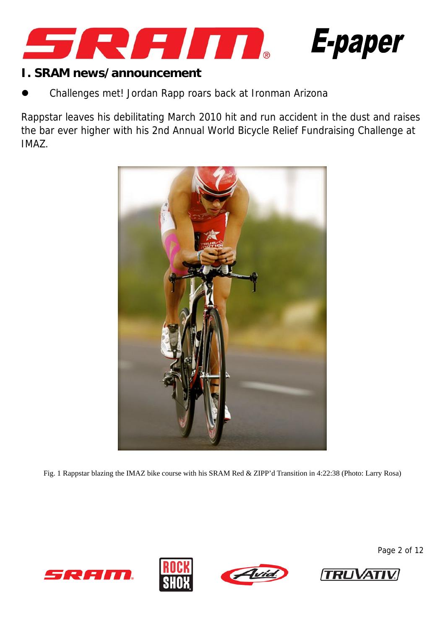



#### **I. SRAM news/announcement**

Challenges met! Jordan Rapp roars back at Ironman Arizona

Rappstar leaves his debilitating March 2010 hit and run accident in the dust and raises the bar ever higher with his 2nd Annual World Bicycle Relief Fundraising Challenge at IMAZ.



Fig. 1 Rappstar blazing the IMAZ bike course with his SRAM Red & ZIPP'd Transition in 4:22:38 (Photo: Larry Rosa)









Page 2 of 12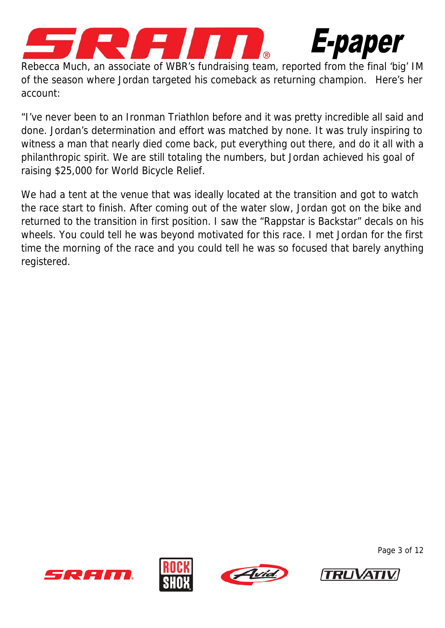



Rebecca Much, an associate of WBR's fundraising team, reported from the final 'big' IM of the season where Jordan targeted his comeback as returning champion. Here's her account:

"I've never been to an Ironman Triathlon before and it was pretty incredible all said and done. Jordan's determination and effort was matched by none. It was truly inspiring to witness a man that nearly died come back, put everything out there, and do it all with a philanthropic spirit. We are still totaling the numbers, but Jordan achieved his goal of raising \$25,000 for World Bicycle Relief.

We had a tent at the venue that was ideally located at the transition and got to watch the race start to finish. After coming out of the water slow, Jordan got on the bike and returned to the transition in first position. I saw the "Rappstar is Backstar" decals on his wheels. You could tell he was beyond motivated for this race. I met Jordan for the first time the morning of the race and you could tell he was so focused that barely anything registered.







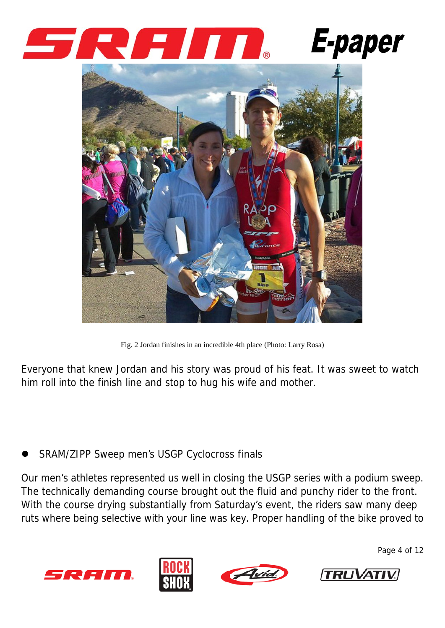





Fig. 2 Jordan finishes in an incredible 4th place (Photo: Larry Rosa)

Everyone that knew Jordan and his story was proud of his feat. It was sweet to watch him roll into the finish line and stop to hug his wife and mother.

SRAM/ZIPP Sweep men's USGP Cyclocross finals

Our men's athletes represented us well in closing the USGP series with a podium sweep. The technically demanding course brought out the fluid and punchy rider to the front. With the course drying substantially from Saturday's event, the riders saw many deep ruts where being selective with your line was key. Proper handling of the bike proved to









Page 4 of 12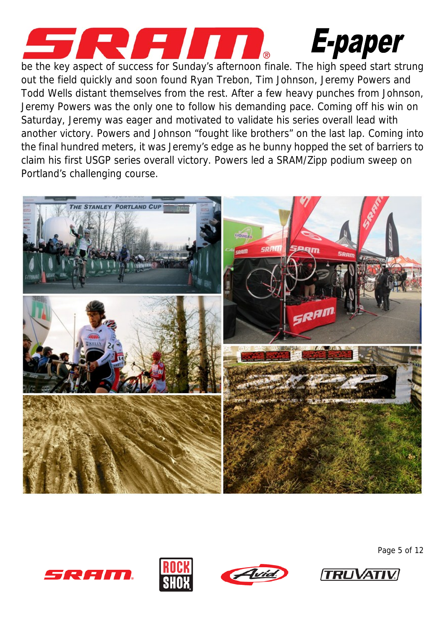

# **E-paper**

be the key aspect of success for Sunday's afternoon finale. The high speed start strung out the field quickly and soon found Ryan Trebon, Tim Johnson, Jeremy Powers and Todd Wells distant themselves from the rest. After a few heavy punches from Johnson, Jeremy Powers was the only one to follow his demanding pace. Coming off his win on Saturday, Jeremy was eager and motivated to validate his series overall lead with another victory. Powers and Johnson "fought like brothers" on the last lap. Coming into the final hundred meters, it was Jeremy's edge as he bunny hopped the set of barriers to claim his first USGP series overall victory. Powers led a SRAM/Zipp podium sweep on Portland's challenging course.











Page 5 of 12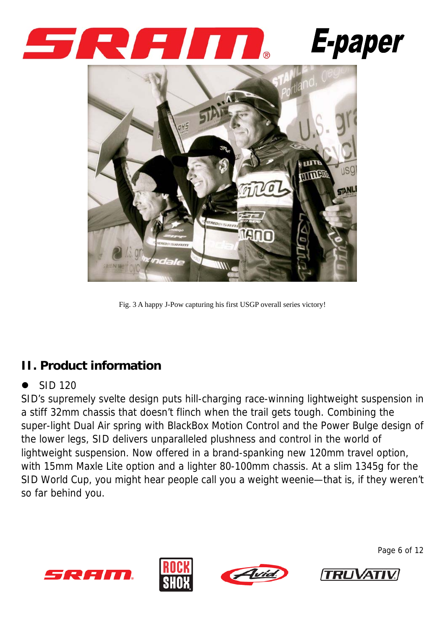





Fig. 3 A happy J-Pow capturing his first USGP overall series victory!

# **II. Product information**

#### SID 120

SID's supremely svelte design puts hill-charging race-winning lightweight suspension in a stiff 32mm chassis that doesn't flinch when the trail gets tough. Combining the super-light Dual Air spring with BlackBox Motion Control and the Power Bulge design of the lower legs, SID delivers unparalleled plushness and control in the world of lightweight suspension. Now offered in a brand-spanking new 120mm travel option, with 15mm Maxle Lite option and a lighter 80-100mm chassis. At a slim 1345g for the SID World Cup, you might hear people call you a weight weenie—that is, if they weren't so far behind you.









Page 6 of 12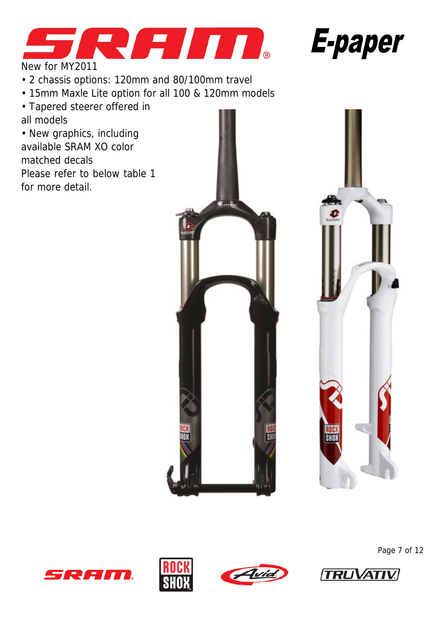



New for MY2011

- 2 chassis options: 120mm and 80/100mm travel
- 15mm Maxle Lite option for all 100 & 120mm models
- Tapered steerer offered in all models

• New graphics, including available SRAM XO color matched decals Please refer to below table 1 for more detail.













Page 7 of 12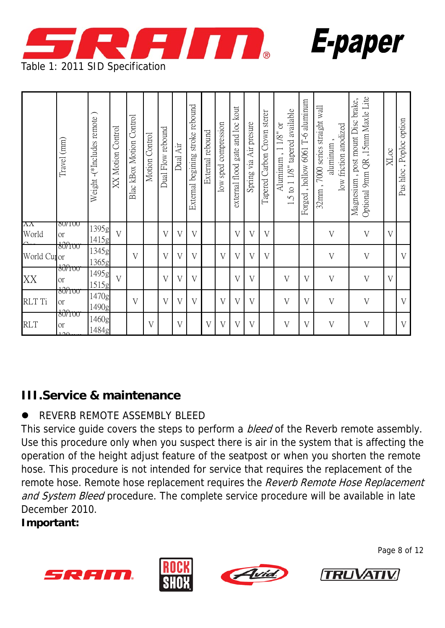

|                         | Travel (mm)                                        | Weight -(*Includes remote) | <b>XX Motion Control</b> | Control<br>Blac kBox Motion | Motion Control | Dual Flow rebound | Dual Air | stroke rebound<br>External begining | External rebound | low sped compression | gate and loc kout<br>external flood | Spring via Air presure  | Tapered Carbon Crown sterer | 1.5 to 1 1/8" tapered available<br>Aluminum, 1 1/8" or | Forged, hollow 6061 T-6 aluminum | 7000 series straight wall<br>low friction anodized<br>aluminum<br>$32$ mm, | Optional 9mm QR ,15mm Maxle Lite<br>Magnesium, post mount Disc brake, | XLoc           | option<br>, Poploc<br>Pus hloc |
|-------------------------|----------------------------------------------------|----------------------------|--------------------------|-----------------------------|----------------|-------------------|----------|-------------------------------------|------------------|----------------------|-------------------------------------|-------------------------|-----------------------------|--------------------------------------------------------|----------------------------------|----------------------------------------------------------------------------|-----------------------------------------------------------------------|----------------|--------------------------------|
| ΛΛ<br>World             | 80/100<br><b>or</b>                                | 1395g<br>1415g             | $\overline{V}$           |                             |                | $\overline{V}$    | V        | V                                   |                  |                      | V                                   | $\overline{V}$          | V                           |                                                        |                                  | $\mathbf{V}$                                                               | V                                                                     | $\overline{V}$ |                                |
| World Cu <sub>lor</sub> | 80/100                                             | 1345g<br>1365g             |                          | V                           |                | V                 | V        | V                                   |                  | V                    | V                                   | $\rm V$                 | V                           |                                                        |                                  | V                                                                          | $\mathbf V$                                                           |                | V                              |
| XX                      | $\frac{10}{100}$<br><b>or</b>                      | 1495g<br>1515g             | $\overline{V}$           |                             |                | $\overline{V}$    | $\rm V$  | $\overline{V}$                      |                  |                      | $\rm V$                             | $\overline{\mathrm{V}}$ |                             | V                                                      | $\overline{V}$                   | $\mathbf{V}$                                                               | V                                                                     | $\overline{V}$ |                                |
| RLT Ti                  | 30⁄1 oo<br><b>or</b>                               | 1470g<br>1490g             |                          | V                           |                | V                 | V        | V                                   |                  | $\rm V$              | V                                   | V                       |                             | V                                                      | $\rm V$                          | V                                                                          | V                                                                     |                | $\rm V$                        |
| <b>RLT</b>              | , <del>80/1 oo</del><br><b>or</b><br>$1 \cap \cap$ | 1460g<br>1484g             |                          |                             | V              |                   | V        |                                     | $\mathbf{V}$     | $\overline{V}$       | V                                   | $\overline{V}$          |                             | V                                                      | $\overline{\mathsf{V}}$          | $\boldsymbol{\mathrm{V}}$                                                  | $\mathbf V$                                                           |                | $\rm V$                        |

# **III.Service & maintenance**

## z REVERB REMOTE ASSEMBLY BLEED

This service quide covers the steps to perform a *bleed* of the Reverb remote assembly. Use this procedure only when you suspect there is air in the system that is affecting the operation of the height adjust feature of the seatpost or when you shorten the remote hose. This procedure is not intended for service that requires the replacement of the remote hose. Remote hose replacement requires the Reverb Remote Hose Replacement and System Bleed procedure. The complete service procedure will be available in late December 2010.

#### **Important:**









Page 8 of 12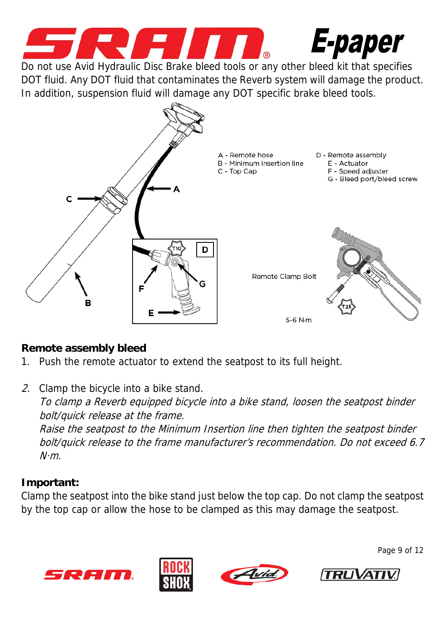

E-paper

Do not use Avid Hydraulic Disc Brake bleed tools or any other bleed kit that specifies DOT fluid. Any DOT fluid that contaminates the Reverb system will damage the product. In addition, suspension fluid will damage any DOT specific brake bleed tools.



### **Remote assembly bleed**

- 1. Push the remote actuator to extend the seatpost to its full height.
- 2. Clamp the bicycle into a bike stand. To clamp a Reverb equipped bicycle into a bike stand, loosen the seatpost binder bolt/quick release at the frame. Raise the seatpost to the Minimum Insertion line then tighten the seatpost binder bolt/quick release to the frame manufacturer's recommendation. Do not exceed 6.7  $N·m$

## **Important:**

Clamp the seatpost into the bike stand just below the top cap. Do not clamp the seatpost by the top cap or allow the hose to be clamped as this may damage the seatpost.









Page 9 of 12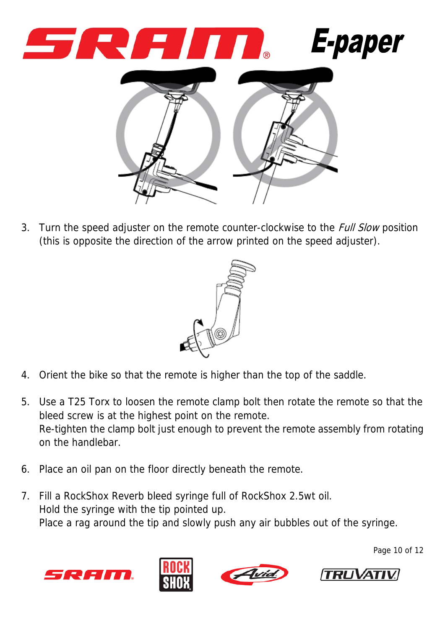

3. Turn the speed adjuster on the remote counter-clockwise to the *Full Slow* position (this is opposite the direction of the arrow printed on the speed adjuster).



- 4. Orient the bike so that the remote is higher than the top of the saddle.
- 5. Use a T25 Torx to loosen the remote clamp bolt then rotate the remote so that the bleed screw is at the highest point on the remote. Re-tighten the clamp bolt just enough to prevent the remote assembly from rotating on the handlebar.
- 6. Place an oil pan on the floor directly beneath the remote.
- 7. Fill a RockShox Reverb bleed syringe full of RockShox 2.5wt oil. Hold the syringe with the tip pointed up. Place a rag around the tip and slowly push any air bubbles out of the syringe.









Page 10 of 12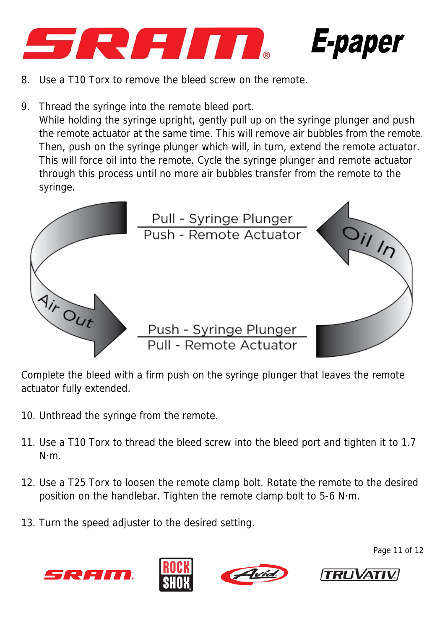



- 8. Use a T10 Torx to remove the bleed screw on the remote.
- 9. Thread the syringe into the remote bleed port. While holding the syringe upright, gently pull up on the syringe plunger and push the remote actuator at the same time. This will remove air bubbles from the remote. Then, push on the syringe plunger which will, in turn, extend the remote actuator. This will force oil into the remote. Cycle the syringe plunger and remote actuator through this process until no more air bubbles transfer from the remote to the syringe.



Complete the bleed with a firm push on the syringe plunger that leaves the remote actuator fully extended.

- 10. Unthread the syringe from the remote.
- 11. Use a T10 Torx to thread the bleed screw into the bleed port and tighten it to 1.7 N·m.
- 12. Use a T25 Torx to loosen the remote clamp bolt. Rotate the remote to the desired position on the handlebar. Tighten the remote clamp bolt to 5-6 N·m.
- 13. Turn the speed adjuster to the desired setting.









Page 11 of 12